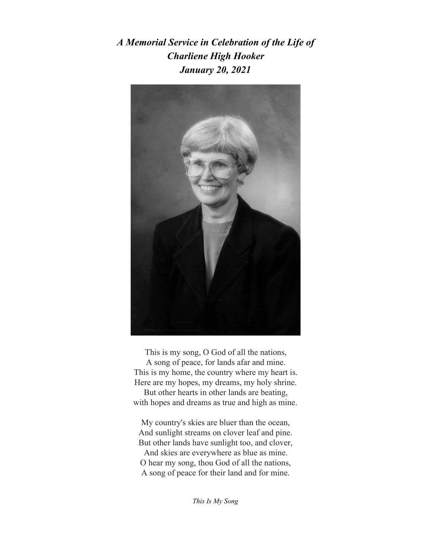*A Memorial Service in Celebration of the Life of Charliene High Hooker January 20, 2021*



This is my song, O God of all the nations, A song of peace, for lands afar and mine. This is my home, the country where my heart is. Here are my hopes, my dreams, my holy shrine. But other hearts in other lands are beating, with hopes and dreams as true and high as mine.

My country's skies are bluer than the ocean, And sunlight streams on clover leaf and pine. But other lands have sunlight too, and clover, And skies are everywhere as blue as mine. O hear my song, thou God of all the nations, A song of peace for their land and for mine.

*This Is My Song*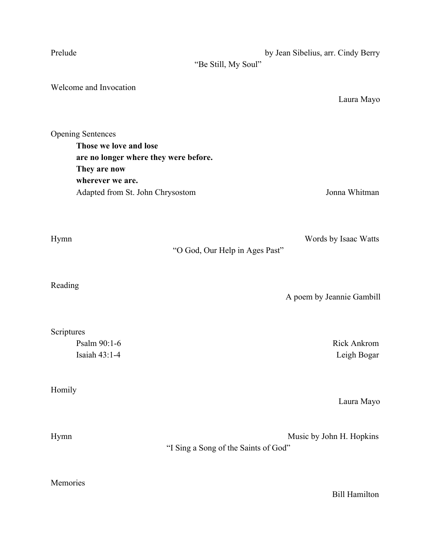| Prelude                                                                                                                                                             | "Be Still, My Soul"                  | by Jean Sibelius, arr. Cindy Berry |
|---------------------------------------------------------------------------------------------------------------------------------------------------------------------|--------------------------------------|------------------------------------|
| Welcome and Invocation                                                                                                                                              |                                      | Laura Mayo                         |
| <b>Opening Sentences</b><br>Those we love and lose<br>are no longer where they were before.<br>They are now<br>wherever we are.<br>Adapted from St. John Chrysostom |                                      | Jonna Whitman                      |
| Hymn                                                                                                                                                                | "O God, Our Help in Ages Past"       | Words by Isaac Watts               |
| Reading                                                                                                                                                             |                                      | A poem by Jeannie Gambill          |
| Scriptures<br>Psalm 90:1-6<br>Isaiah 43:1-4                                                                                                                         |                                      | <b>Rick Ankrom</b><br>Leigh Bogar  |
| Homily                                                                                                                                                              |                                      | Laura Mayo                         |
| Hymn                                                                                                                                                                | "I Sing a Song of the Saints of God" | Music by John H. Hopkins           |
| Memories                                                                                                                                                            |                                      | <b>Bill Hamilton</b>               |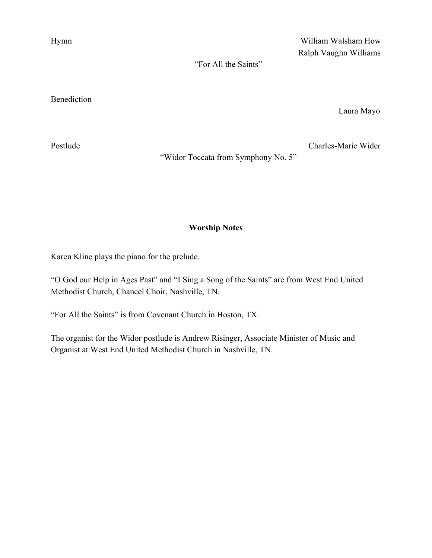Hymn William Walsham How Ralph Vaughn Williams

"For All the Saints"

Benediction

Laura Mayo

Postlude Charles-Marie Wider

"Widor Toccata from Symphony No. 5"

### **Worship Notes**

Karen Kline plays the piano for the prelude.

"O God our Help in Ages Past" and "I Sing a Song of the Saints" are from West End United Methodist Church, Chancel Choir, Nashville, TN.

"For All the Saints" is from Covenant Church in Hoston, TX.

The organist for the Widor postlude is Andrew Risinger, Associate Minister of Music and Organist at West End United Methodist Church in Nashville, TN.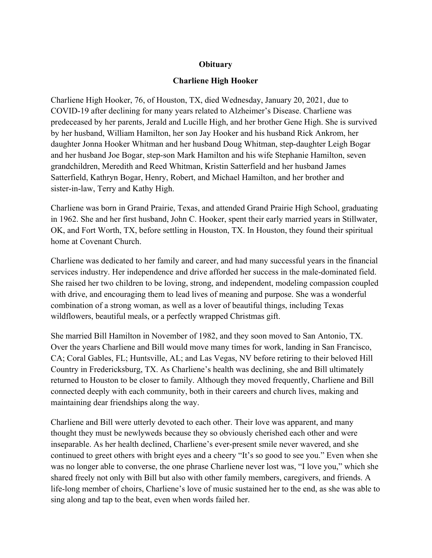### **Obituary**

### **Charliene High Hooker**

Charliene High Hooker, 76, of Houston, TX, died Wednesday, January 20, 2021, due to COVID-19 after declining for many years related to Alzheimer's Disease. Charliene was predeceased by her parents, Jerald and Lucille High, and her brother Gene High. She is survived by her husband, William Hamilton, her son Jay Hooker and his husband Rick Ankrom, her daughter Jonna Hooker Whitman and her husband Doug Whitman, step-daughter Leigh Bogar and her husband Joe Bogar, step-son Mark Hamilton and his wife Stephanie Hamilton, seven grandchildren, Meredith and Reed Whitman, Kristin Satterfield and her husband James Satterfield, Kathryn Bogar, Henry, Robert, and Michael Hamilton, and her brother and sister-in-law, Terry and Kathy High.

Charliene was born in Grand Prairie, Texas, and attended Grand Prairie High School, graduating in 1962. She and her first husband, John C. Hooker, spent their early married years in Stillwater, OK, and Fort Worth, TX, before settling in Houston, TX. In Houston, they found their spiritual home at Covenant Church.

Charliene was dedicated to her family and career, and had many successful years in the financial services industry. Her independence and drive afforded her success in the male-dominated field. She raised her two children to be loving, strong, and independent, modeling compassion coupled with drive, and encouraging them to lead lives of meaning and purpose. She was a wonderful combination of a strong woman, as well as a lover of beautiful things, including Texas wildflowers, beautiful meals, or a perfectly wrapped Christmas gift.

She married Bill Hamilton in November of 1982, and they soon moved to San Antonio, TX. Over the years Charliene and Bill would move many times for work, landing in San Francisco, CA; Coral Gables, FL; Huntsville, AL; and Las Vegas, NV before retiring to their beloved Hill Country in Fredericksburg, TX. As Charliene's health was declining, she and Bill ultimately returned to Houston to be closer to family. Although they moved frequently, Charliene and Bill connected deeply with each community, both in their careers and church lives, making and maintaining dear friendships along the way.

Charliene and Bill were utterly devoted to each other. Their love was apparent, and many thought they must be newlyweds because they so obviously cherished each other and were inseparable. As her health declined, Charliene's ever-present smile never wavered, and she continued to greet others with bright eyes and a cheery "It's so good to see you." Even when she was no longer able to converse, the one phrase Charliene never lost was, "I love you," which she shared freely not only with Bill but also with other family members, caregivers, and friends. A life-long member of choirs, Charliene's love of music sustained her to the end, as she was able to sing along and tap to the beat, even when words failed her.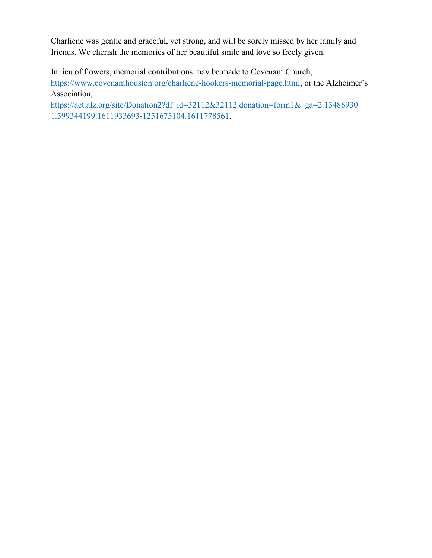Charliene was gentle and graceful, yet strong, and will be sorely missed by her family and friends. We cherish the memories of her beautiful smile and love so freely given.

In lieu of flowers, memorial contributions may be made to Covenant Church, https://www.covenanthouston.org/charliene-hookers-memorial-page.html, or the Alzheimer's Association,

https://act.alz.org/site/Donation2?df\_id=32112&32112.donation=form1&\_ga=2.13486930 1.599344199.1611933693-1251675104.1611778561.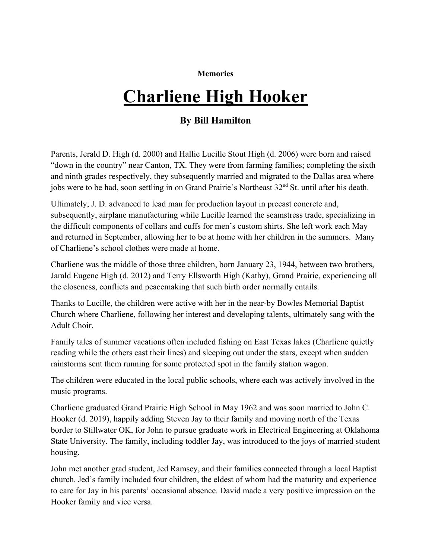#### **Memories**

# **Charliene High Hooker**

## **By Bill Hamilton**

Parents, Jerald D. High (d. 2000) and Hallie Lucille Stout High (d. 2006) were born and raised "down in the country" near Canton, TX. They were from farming families; completing the sixth and ninth grades respectively, they subsequently married and migrated to the Dallas area where jobs were to be had, soon settling in on Grand Prairie's Northeast 32<sup>nd</sup> St. until after his death.

Ultimately, J. D. advanced to lead man for production layout in precast concrete and, subsequently, airplane manufacturing while Lucille learned the seamstress trade, specializing in the difficult components of collars and cuffs for men's custom shirts. She left work each May and returned in September, allowing her to be at home with her children in the summers. Many of Charliene's school clothes were made at home.

Charliene was the middle of those three children, born January 23, 1944, between two brothers, Jarald Eugene High (d. 2012) and Terry Ellsworth High (Kathy), Grand Prairie, experiencing all the closeness, conflicts and peacemaking that such birth order normally entails.

Thanks to Lucille, the children were active with her in the near-by Bowles Memorial Baptist Church where Charliene, following her interest and developing talents, ultimately sang with the Adult Choir.

Family tales of summer vacations often included fishing on East Texas lakes (Charliene quietly reading while the others cast their lines) and sleeping out under the stars, except when sudden rainstorms sent them running for some protected spot in the family station wagon.

The children were educated in the local public schools, where each was actively involved in the music programs.

Charliene graduated Grand Prairie High School in May 1962 and was soon married to John C. Hooker (d. 2019), happily adding Steven Jay to their family and moving north of the Texas border to Stillwater OK, for John to pursue graduate work in Electrical Engineering at Oklahoma State University. The family, including toddler Jay, was introduced to the joys of married student housing.

John met another grad student, Jed Ramsey, and their families connected through a local Baptist church. Jed's family included four children, the eldest of whom had the maturity and experience to care for Jay in his parents' occasional absence. David made a very positive impression on the Hooker family and vice versa.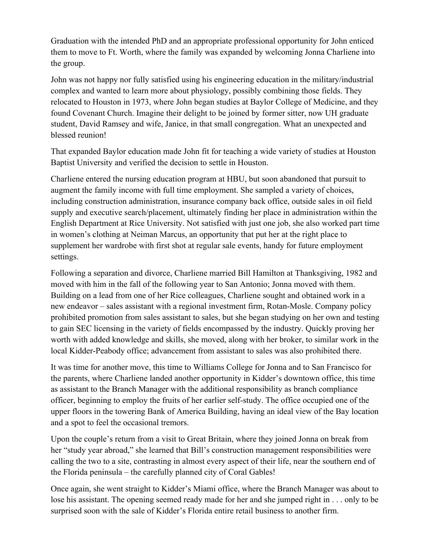Graduation with the intended PhD and an appropriate professional opportunity for John enticed them to move to Ft. Worth, where the family was expanded by welcoming Jonna Charliene into the group.

John was not happy nor fully satisfied using his engineering education in the military/industrial complex and wanted to learn more about physiology, possibly combining those fields. They relocated to Houston in 1973, where John began studies at Baylor College of Medicine, and they found Covenant Church. Imagine their delight to be joined by former sitter, now UH graduate student, David Ramsey and wife, Janice, in that small congregation. What an unexpected and blessed reunion!

That expanded Baylor education made John fit for teaching a wide variety of studies at Houston Baptist University and verified the decision to settle in Houston.

Charliene entered the nursing education program at HBU, but soon abandoned that pursuit to augment the family income with full time employment. She sampled a variety of choices, including construction administration, insurance company back office, outside sales in oil field supply and executive search/placement, ultimately finding her place in administration within the English Department at Rice University. Not satisfied with just one job, she also worked part time in women's clothing at Neiman Marcus, an opportunity that put her at the right place to supplement her wardrobe with first shot at regular sale events, handy for future employment settings.

Following a separation and divorce, Charliene married Bill Hamilton at Thanksgiving, 1982 and moved with him in the fall of the following year to San Antonio; Jonna moved with them. Building on a lead from one of her Rice colleagues, Charliene sought and obtained work in a new endeavor – sales assistant with a regional investment firm, Rotan-Mosle. Company policy prohibited promotion from sales assistant to sales, but she began studying on her own and testing to gain SEC licensing in the variety of fields encompassed by the industry. Quickly proving her worth with added knowledge and skills, she moved, along with her broker, to similar work in the local Kidder-Peabody office; advancement from assistant to sales was also prohibited there.

It was time for another move, this time to Williams College for Jonna and to San Francisco for the parents, where Charliene landed another opportunity in Kidder's downtown office, this time as assistant to the Branch Manager with the additional responsibility as branch compliance officer, beginning to employ the fruits of her earlier self-study. The office occupied one of the upper floors in the towering Bank of America Building, having an ideal view of the Bay location and a spot to feel the occasional tremors.

Upon the couple's return from a visit to Great Britain, where they joined Jonna on break from her "study year abroad," she learned that Bill's construction management responsibilities were calling the two to a site, contrasting in almost every aspect of their life, near the southern end of the Florida peninsula – the carefully planned city of Coral Gables!

Once again, she went straight to Kidder's Miami office, where the Branch Manager was about to lose his assistant. The opening seemed ready made for her and she jumped right in . . . only to be surprised soon with the sale of Kidder's Florida entire retail business to another firm.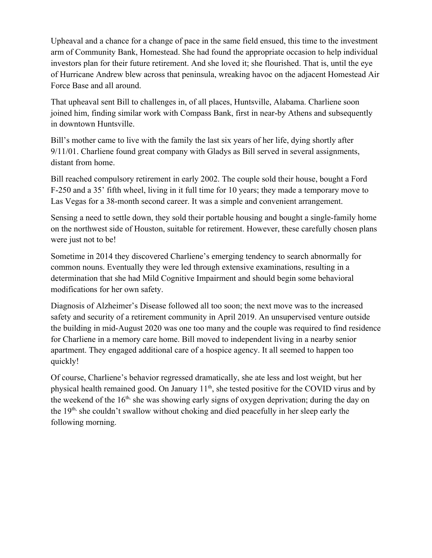Upheaval and a chance for a change of pace in the same field ensued, this time to the investment arm of Community Bank, Homestead. She had found the appropriate occasion to help individual investors plan for their future retirement. And she loved it; she flourished. That is, until the eye of Hurricane Andrew blew across that peninsula, wreaking havoc on the adjacent Homestead Air Force Base and all around.

That upheaval sent Bill to challenges in, of all places, Huntsville, Alabama. Charliene soon joined him, finding similar work with Compass Bank, first in near-by Athens and subsequently in downtown Huntsville.

Bill's mother came to live with the family the last six years of her life, dying shortly after 9/11/01. Charliene found great company with Gladys as Bill served in several assignments, distant from home.

Bill reached compulsory retirement in early 2002. The couple sold their house, bought a Ford F-250 and a 35' fifth wheel, living in it full time for 10 years; they made a temporary move to Las Vegas for a 38-month second career. It was a simple and convenient arrangement.

Sensing a need to settle down, they sold their portable housing and bought a single-family home on the northwest side of Houston, suitable for retirement. However, these carefully chosen plans were just not to be!

Sometime in 2014 they discovered Charliene's emerging tendency to search abnormally for common nouns. Eventually they were led through extensive examinations, resulting in a determination that she had Mild Cognitive Impairment and should begin some behavioral modifications for her own safety.

Diagnosis of Alzheimer's Disease followed all too soon; the next move was to the increased safety and security of a retirement community in April 2019. An unsupervised venture outside the building in mid-August 2020 was one too many and the couple was required to find residence for Charliene in a memory care home. Bill moved to independent living in a nearby senior apartment. They engaged additional care of a hospice agency. It all seemed to happen too quickly!

Of course, Charliene's behavior regressed dramatically, she ate less and lost weight, but her physical health remained good. On January 11<sup>th</sup>, she tested positive for the COVID virus and by the weekend of the  $16<sup>th</sup>$ , she was showing early signs of oxygen deprivation; during the day on the 19<sup>th,</sup> she couldn't swallow without choking and died peacefully in her sleep early the following morning.